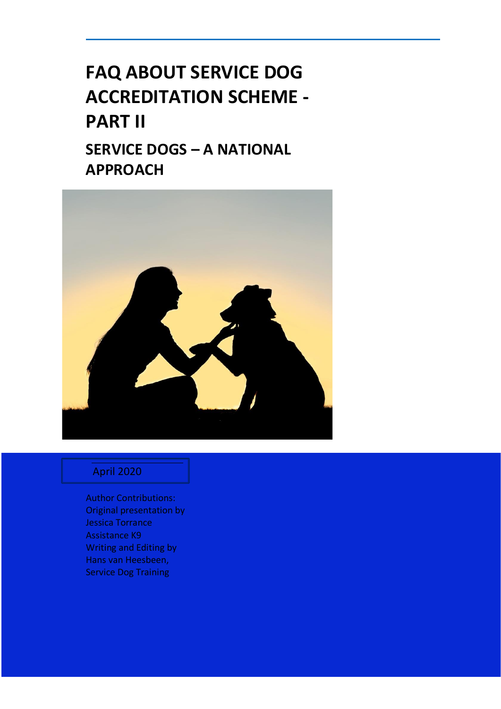# **FAQ ABOUT SERVICE DOG ACCREDITATION SCHEME - PART II SERVICE DOGS – A NATIONAL APPROACH**



# April 2020

Author Contributions: Original presentation by Jessica Torrance Assistance K9 Writing and Editing by Hans van Heesbeen, Service Dog Training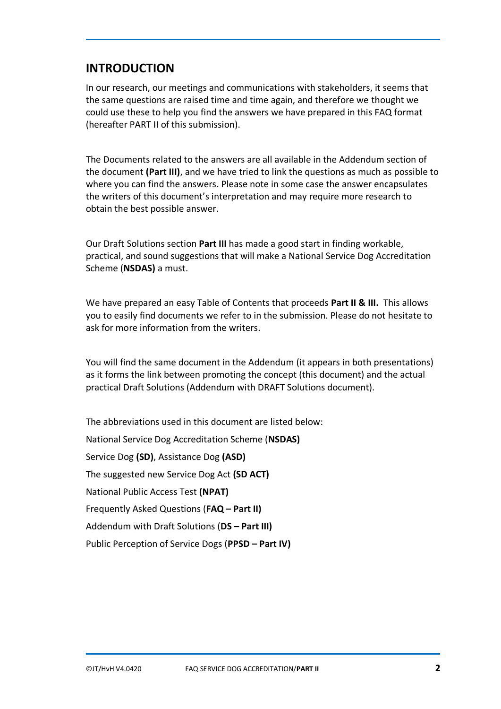# **INTRODUCTION**

In our research, our meetings and communications with stakeholders, it seems that the same questions are raised time and time again, and therefore we thought we could use these to help you find the answers we have prepared in this FAQ format (hereafter PART II of this submission).

The Documents related to the answers are all available in the Addendum section of the document **(Part III)**, and we have tried to link the questions as much as possible to where you can find the answers. Please note in some case the answer encapsulates the writers of this document's interpretation and may require more research to obtain the best possible answer.

Our Draft Solutions section **Part III** has made a good start in finding workable, practical, and sound suggestions that will make a National Service Dog Accreditation Scheme (**NSDAS)** a must.

We have prepared an easy Table of Contents that proceeds **Part II & III.** This allows you to easily find documents we refer to in the submission. Please do not hesitate to ask for more information from the writers.

You will find the same document in the Addendum (it appears in both presentations) as it forms the link between promoting the concept (this document) and the actual practical Draft Solutions (Addendum with DRAFT Solutions document).

The abbreviations used in this document are listed below: National Service Dog Accreditation Scheme (**NSDAS)** Service Dog **(SD)**, Assistance Dog **(ASD)** The suggested new Service Dog Act **(SD ACT)** National Public Access Test **(NPAT)**  Frequently Asked Questions (**FAQ – Part II)** Addendum with Draft Solutions (**DS – Part III)** Public Perception of Service Dogs (**PPSD – Part IV)**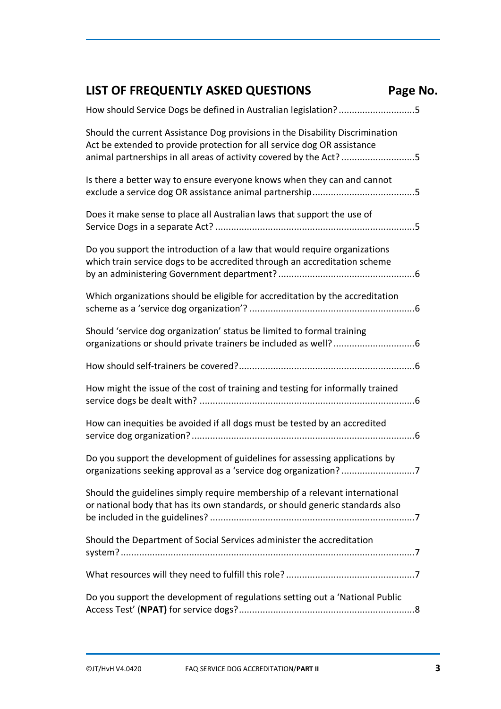| <b>LIST OF FREQUENTLY ASKED QUESTIONS</b>                                                                                                                                                                                      | Page No. |
|--------------------------------------------------------------------------------------------------------------------------------------------------------------------------------------------------------------------------------|----------|
| How should Service Dogs be defined in Australian legislation?5                                                                                                                                                                 |          |
| Should the current Assistance Dog provisions in the Disability Discrimination<br>Act be extended to provide protection for all service dog OR assistance<br>animal partnerships in all areas of activity covered by the Act? 5 |          |
| Is there a better way to ensure everyone knows when they can and cannot                                                                                                                                                        |          |
| Does it make sense to place all Australian laws that support the use of                                                                                                                                                        |          |
| Do you support the introduction of a law that would require organizations<br>which train service dogs to be accredited through an accreditation scheme                                                                         |          |
| Which organizations should be eligible for accreditation by the accreditation                                                                                                                                                  |          |
| Should 'service dog organization' status be limited to formal training                                                                                                                                                         |          |
|                                                                                                                                                                                                                                |          |
| How might the issue of the cost of training and testing for informally trained                                                                                                                                                 |          |
| How can inequities be avoided if all dogs must be tested by an accredited                                                                                                                                                      |          |
| Do you support the development of guidelines for assessing applications by                                                                                                                                                     |          |
| Should the guidelines simply require membership of a relevant international<br>or national body that has its own standards, or should generic standards also                                                                   |          |
| Should the Department of Social Services administer the accreditation                                                                                                                                                          |          |
|                                                                                                                                                                                                                                |          |
| Do you support the development of regulations setting out a 'National Public                                                                                                                                                   |          |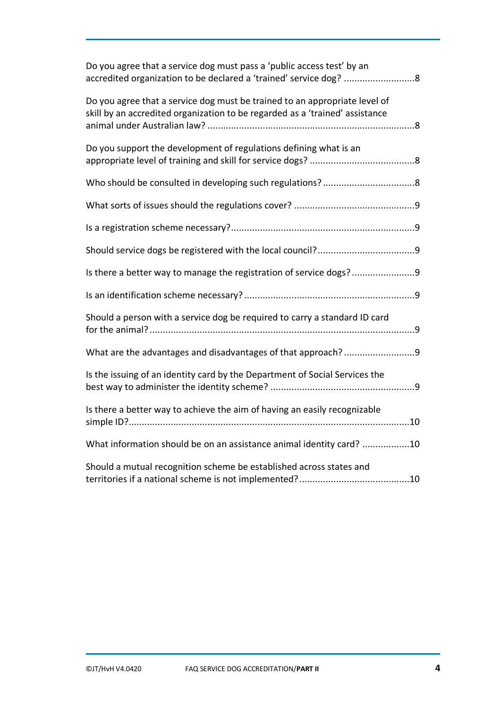| Do you agree that a service dog must pass a 'public access test' by an<br>accredited organization to be declared a 'trained' service dog? 8                |
|------------------------------------------------------------------------------------------------------------------------------------------------------------|
| Do you agree that a service dog must be trained to an appropriate level of<br>skill by an accredited organization to be regarded as a 'trained' assistance |
| Do you support the development of regulations defining what is an                                                                                          |
|                                                                                                                                                            |
|                                                                                                                                                            |
|                                                                                                                                                            |
|                                                                                                                                                            |
| Is there a better way to manage the registration of service dogs?                                                                                          |
|                                                                                                                                                            |
| Should a person with a service dog be required to carry a standard ID card                                                                                 |
|                                                                                                                                                            |
| Is the issuing of an identity card by the Department of Social Services the                                                                                |
| Is there a better way to achieve the aim of having an easily recognizable                                                                                  |
| What information should be on an assistance animal identity card? 10                                                                                       |
| Should a mutual recognition scheme be established across states and                                                                                        |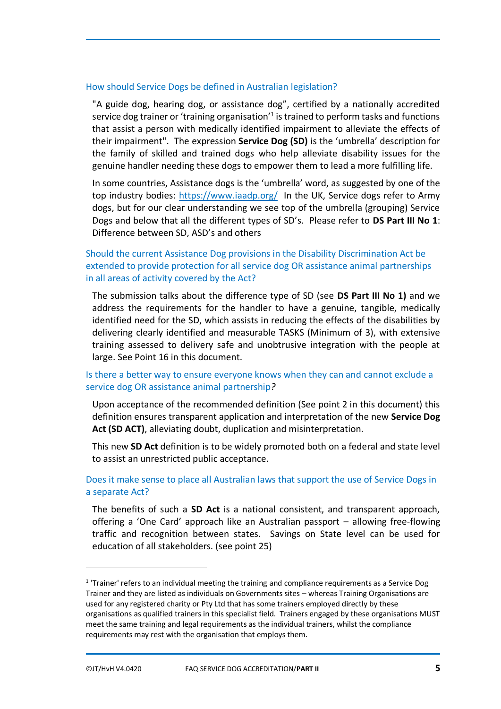#### <span id="page-4-0"></span>How should Service Dogs be defined in Australian legislation?

"A guide dog, hearing dog, or assistance dog", certified by a nationally accredited service dog trainer or 'training organisation'<sup>1</sup> is trained to perform tasks and functions that assist a person with medically identified impairment to alleviate the effects of their impairment". The expression **Service Dog (SD)** is the 'umbrella' description for the family of skilled and trained dogs who help alleviate disability issues for the genuine handler needing these dogs to empower them to lead a more fulfilling life.

In some countries, Assistance dogs is the 'umbrella' word, as suggested by one of the top industry bodies: <https://www.iaadp.org/>In the UK, Service dogs refer to Army dogs, but for our clear understanding we see top of the umbrella (grouping) Service Dogs and below that all the different types of SD's. Please refer to **DS Part III No 1**: Difference between SD, ASD's and others

<span id="page-4-1"></span>Should the current Assistance Dog provisions in the Disability Discrimination Act be extended to provide protection for all service dog OR assistance animal partnerships in all areas of activity covered by the Act?

The submission talks about the difference type of SD (see **DS Part III No 1)** and we address the requirements for the handler to have a genuine, tangible, medically identified need for the SD, which assists in reducing the effects of the disabilities by delivering clearly identified and measurable TASKS (Minimum of 3), with extensive training assessed to delivery safe and unobtrusive integration with the people at large. See Point 16 in this document.

#### <span id="page-4-2"></span>Is there a better way to ensure everyone knows when they can and cannot exclude a service dog OR assistance animal partnership*?*

Upon acceptance of the recommended definition (See point 2 in this document) this definition ensures transparent application and interpretation of the new **Service Dog Act (SD ACT)**, alleviating doubt, duplication and misinterpretation.

This new **SD Act** definition is to be widely promoted both on a federal and state level to assist an unrestricted public acceptance.

<span id="page-4-3"></span>Does it make sense to place all Australian laws that support the use of Service Dogs in a separate Act?

The benefits of such a **SD Act** is a national consistent, and transparent approach, offering a 'One Card' approach like an Australian passport – allowing free-flowing traffic and recognition between states. Savings on State level can be used for education of all stakeholders. (see point 25)

 $1$  'Trainer' refers to an individual meeting the training and compliance requirements as a Service Dog Trainer and they are listed as individuals on Governments sites – whereas Training Organisations are used for any registered charity or Pty Ltd that has some trainers employed directly by these organisations as qualified trainers in this specialist field. Trainers engaged by these organisations MUST meet the same training and legal requirements as the individual trainers, whilst the compliance requirements may rest with the organisation that employs them.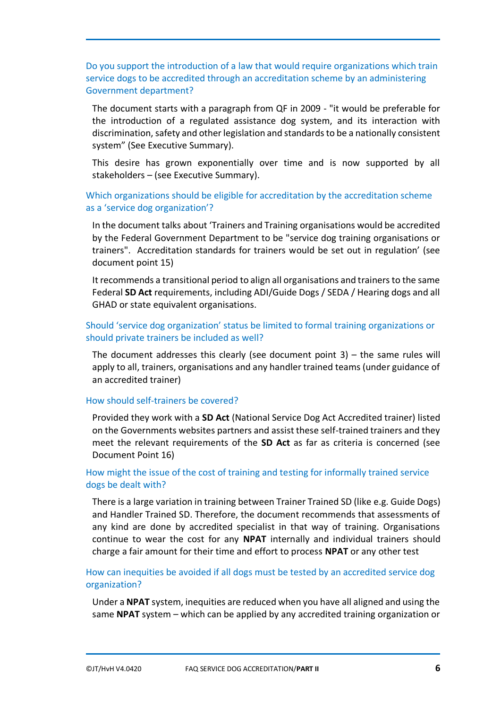<span id="page-5-0"></span>Do you support the introduction of a law that would require organizations which train service dogs to be accredited through an accreditation scheme by an administering Government department?

The document starts with a paragraph from QF in 2009 - "it would be preferable for the introduction of a regulated assistance dog system, and its interaction with discrimination, safety and other legislation and standards to be a nationally consistent system" (See Executive Summary).

This desire has grown exponentially over time and is now supported by all stakeholders – (see Executive Summary).

# <span id="page-5-1"></span>Which organizations should be eligible for accreditation by the accreditation scheme as a 'service dog organization'?

In the document talks about 'Trainers and Training organisations would be accredited by the Federal Government Department to be "service dog training organisations or trainers". Accreditation standards for trainers would be set out in regulation' (see document point 15)

It recommends a transitional period to align all organisations and trainers to the same Federal **SD Act** requirements, including ADI/Guide Dogs / SEDA / Hearing dogs and all GHAD or state equivalent organisations.

# <span id="page-5-2"></span>Should 'service dog organization' status be limited to formal training organizations or should private trainers be included as well?

The document addresses this clearly (see document point 3) – the same rules will apply to all, trainers, organisations and any handler trained teams (under guidance of an accredited trainer)

#### <span id="page-5-3"></span>How should self-trainers be covered?

Provided they work with a **SD Act** (National Service Dog Act Accredited trainer) listed on the Governments websites partners and assist these self-trained trainers and they meet the relevant requirements of the **SD Act** as far as criteria is concerned (see Document Point 16)

# <span id="page-5-4"></span>How might the issue of the cost of training and testing for informally trained service dogs be dealt with?

There is a large variation in training between Trainer Trained SD (like e.g. Guide Dogs) and Handler Trained SD. Therefore, the document recommends that assessments of any kind are done by accredited specialist in that way of training. Organisations continue to wear the cost for any **NPAT** internally and individual trainers should charge a fair amount for their time and effort to process **NPAT** or any other test

# <span id="page-5-5"></span>How can inequities be avoided if all dogs must be tested by an accredited service dog organization?

Under a **NPAT** system, inequities are reduced when you have all aligned and using the same **NPAT** system – which can be applied by any accredited training organization or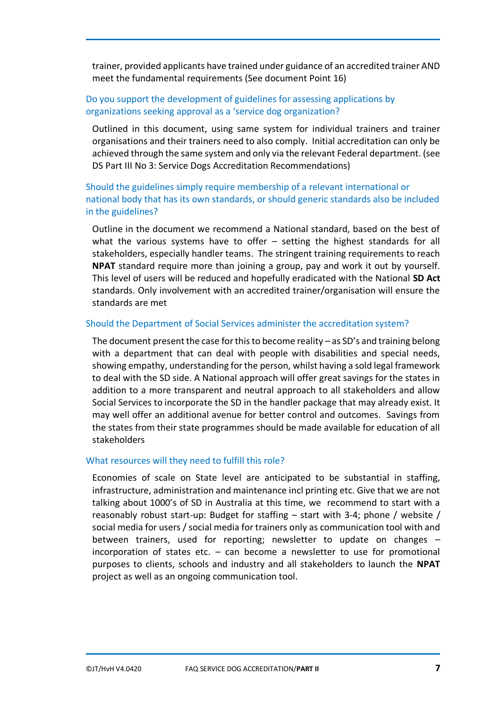trainer, provided applicants have trained under guidance of an accredited trainer AND meet the fundamental requirements (See document Point 16)

# <span id="page-6-0"></span>Do you support the development of guidelines for assessing applications by organizations seeking approval as a 'service dog organization?

Outlined in this document, using same system for individual trainers and trainer organisations and their trainers need to also comply. Initial accreditation can only be achieved through the same system and only via the relevant Federal department. (see DS Part III No 3: Service Dogs Accreditation Recommendations)

<span id="page-6-1"></span>Should the guidelines simply require membership of a relevant international or national body that has its own standards, or should generic standards also be included in the guidelines?

Outline in the document we recommend a National standard, based on the best of what the various systems have to offer – setting the highest standards for all stakeholders, especially handler teams. The stringent training requirements to reach **NPAT** standard require more than joining a group, pay and work it out by yourself. This level of users will be reduced and hopefully eradicated with the National **SD Act** standards. Only involvement with an accredited trainer/organisation will ensure the standards are met

#### <span id="page-6-2"></span>Should the Department of Social Services administer the accreditation system?

The document present the case for this to become reality – as SD's and training belong with a department that can deal with people with disabilities and special needs, showing empathy, understanding for the person, whilst having a sold legal framework to deal with the SD side. A National approach will offer great savings for the states in addition to a more transparent and neutral approach to all stakeholders and allow Social Services to incorporate the SD in the handler package that may already exist. It may well offer an additional avenue for better control and outcomes. Savings from the states from their state programmes should be made available for education of all stakeholders

#### <span id="page-6-3"></span>What resources will they need to fulfill this role?

Economies of scale on State level are anticipated to be substantial in staffing, infrastructure, administration and maintenance incl printing etc. Give that we are not talking about 1000's of SD in Australia at this time, we recommend to start with a reasonably robust start-up: Budget for staffing – start with 3-4; phone / website / social media for users / social media for trainers only as communication tool with and between trainers, used for reporting; newsletter to update on changes – incorporation of states etc.  $-$  can become a newsletter to use for promotional purposes to clients, schools and industry and all stakeholders to launch the **NPAT** project as well as an ongoing communication tool.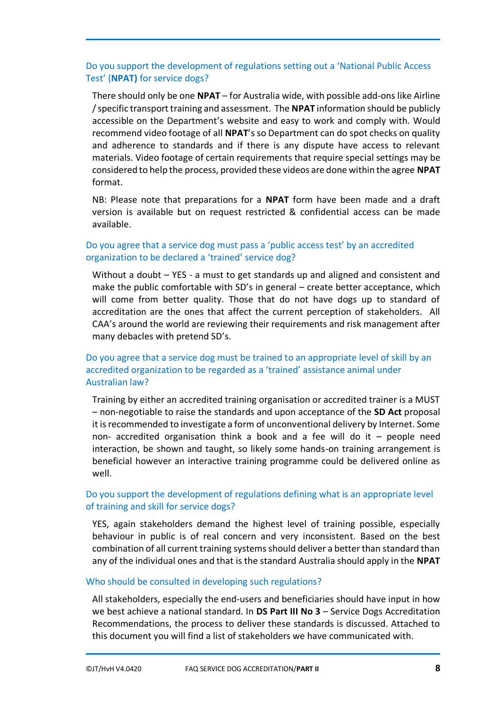# <span id="page-7-0"></span>Do you support the development of regulations setting out a 'National Public Access Test' (**NPAT)** for service dogs?

There should only be one **NPAT** – for Australia wide, with possible add-ons like Airline / specific transport training and assessment. The **NPAT** information should be publicly accessible on the Department's website and easy to work and comply with. Would recommend video footage of all **NPAT**'s so Department can do spot checks on quality and adherence to standards and if there is any dispute have access to relevant materials. Video footage of certain requirements that require special settings may be considered to help the process, provided these videos are done within the agree **NPAT** format.

NB: Please note that preparations for a **NPAT** form have been made and a draft version is available but on request restricted & confidential access can be made available.

# <span id="page-7-1"></span>Do you agree that a service dog must pass a 'public access test' by an accredited organization to be declared a 'trained' service dog?

Without a doubt – YES - a must to get standards up and aligned and consistent and make the public comfortable with SD's in general – create better acceptance, which will come from better quality. Those that do not have dogs up to standard of accreditation are the ones that affect the current perception of stakeholders. All CAA's around the world are reviewing their requirements and risk management after many debacles with pretend SD's.

# <span id="page-7-2"></span>Do you agree that a service dog must be trained to an appropriate level of skill by an accredited organization to be regarded as a 'trained' assistance animal under Australian law?

Training by either an accredited training organisation or accredited trainer is a MUST – non-negotiable to raise the standards and upon acceptance of the **SD Act** proposal it is recommended to investigate a form of unconventional delivery by Internet. Some non- accredited organisation think a book and a fee will do it – people need interaction, be shown and taught, so likely some hands-on training arrangement is beneficial however an interactive training programme could be delivered online as well.

# <span id="page-7-3"></span>Do you support the development of regulations defining what is an appropriate level of training and skill for service dogs?

YES, again stakeholders demand the highest level of training possible, especially behaviour in public is of real concern and very inconsistent. Based on the best combination of all current training systems should deliver a better than standard than any of the individual ones and that is the standard Australia should apply in the **NPAT**

#### <span id="page-7-4"></span>Who should be consulted in developing such regulations?

All stakeholders, especially the end-users and beneficiaries should have input in how we best achieve a national standard. In **DS Part III No 3** – Service Dogs Accreditation Recommendations, the process to deliver these standards is discussed. Attached to this document you will find a list of stakeholders we have communicated with.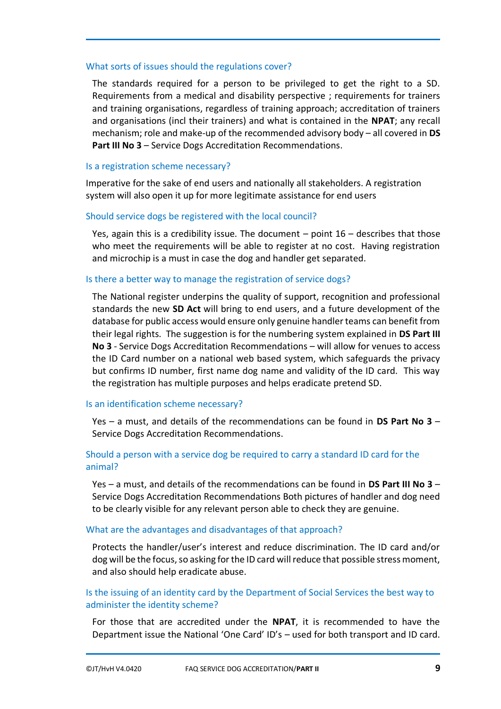#### <span id="page-8-0"></span>What sorts of issues should the regulations cover?

The standards required for a person to be privileged to get the right to a SD. Requirements from a medical and disability perspective ; requirements for trainers and training organisations, regardless of training approach; accreditation of trainers and organisations (incl their trainers) and what is contained in the **NPAT**; any recall mechanism; role and make-up of the recommended advisory body – all covered in **DS Part III No 3** – Service Dogs Accreditation Recommendations.

#### <span id="page-8-1"></span>Is a registration scheme necessary?

Imperative for the sake of end users and nationally all stakeholders. A registration system will also open it up for more legitimate assistance for end users

#### <span id="page-8-2"></span>Should service dogs be registered with the local council?

Yes, again this is a credibility issue. The document  $-$  point  $16$   $-$  describes that those who meet the requirements will be able to register at no cost. Having registration and microchip is a must in case the dog and handler get separated.

#### <span id="page-8-3"></span>Is there a better way to manage the registration of service dogs?

The National register underpins the quality of support, recognition and professional standards the new **SD Act** will bring to end users, and a future development of the database for public access would ensure only genuine handler teams can benefit from their legal rights. The suggestion is for the numbering system explained in **DS Part III No 3** - Service Dogs Accreditation Recommendations – will allow for venues to access the ID Card number on a national web based system, which safeguards the privacy but confirms ID number, first name dog name and validity of the ID card. This way the registration has multiple purposes and helps eradicate pretend SD.

#### <span id="page-8-4"></span>Is an identification scheme necessary?

Yes – a must, and details of the recommendations can be found in **DS Part No 3** – Service Dogs Accreditation Recommendations.

### <span id="page-8-5"></span>Should a person with a service dog be required to carry a standard ID card for the animal?

Yes – a must, and details of the recommendations can be found in **DS Part III No 3** – Service Dogs Accreditation Recommendations Both pictures of handler and dog need to be clearly visible for any relevant person able to check they are genuine.

#### <span id="page-8-6"></span>What are the advantages and disadvantages of that approach?

Protects the handler/user's interest and reduce discrimination. The ID card and/or dog will be the focus, so asking for the ID card will reduce that possible stress moment, and also should help eradicate abuse.

# <span id="page-8-7"></span>Is the issuing of an identity card by the Department of Social Services the best way to administer the identity scheme?

For those that are accredited under the **NPAT**, it is recommended to have the Department issue the National 'One Card' ID's – used for both transport and ID card.